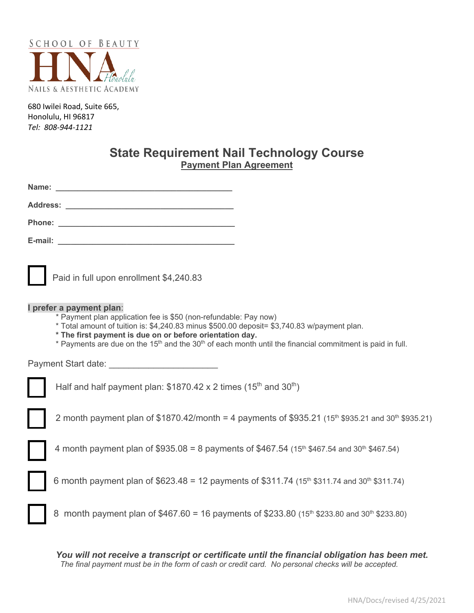

680 Iwilei Road, Suite 665, Honolulu, HI 96817 *Tel: 808-944-1121*

# **State Requirement Nail Technology Course Payment Plan Agreement**

| Name: |                                                                                                                                                                                                                                                                                                                                                                                              |
|-------|----------------------------------------------------------------------------------------------------------------------------------------------------------------------------------------------------------------------------------------------------------------------------------------------------------------------------------------------------------------------------------------------|
|       |                                                                                                                                                                                                                                                                                                                                                                                              |
|       |                                                                                                                                                                                                                                                                                                                                                                                              |
|       |                                                                                                                                                                                                                                                                                                                                                                                              |
|       | Paid in full upon enrollment \$4,240.83                                                                                                                                                                                                                                                                                                                                                      |
|       | I prefer a payment plan:<br>* Payment plan application fee is \$50 (non-refundable: Pay now)<br>* Total amount of tuition is: \$4,240.83 minus \$500.00 deposit= \$3,740.83 w/payment plan.<br>* The first payment is due on or before orientation day.<br>* Payments are due on the 15 <sup>th</sup> and the 30 <sup>th</sup> of each month until the financial commitment is paid in full. |
|       |                                                                                                                                                                                                                                                                                                                                                                                              |
|       | Half and half payment plan: $$1870.42 \times 2$ times (15 <sup>th</sup> and 30 <sup>th</sup> )                                                                                                                                                                                                                                                                                               |
|       | 2 month payment plan of \$1870.42/month = 4 payments of \$935.21 (15 <sup>th</sup> \$935.21 and 30 <sup>th</sup> \$935.21)                                                                                                                                                                                                                                                                   |
|       | 4 month payment plan of \$935.08 = 8 payments of \$467.54 (15 <sup>th</sup> \$467.54 and 30 <sup>th</sup> \$467.54)                                                                                                                                                                                                                                                                          |
|       | 6 month payment plan of \$623.48 = 12 payments of \$311.74 (15 <sup>th</sup> \$311.74 and 30 <sup>th</sup> \$311.74)                                                                                                                                                                                                                                                                         |
|       | 8 month payment plan of $$467.60 = 16$ payments of \$233.80 (15 <sup>th</sup> \$233.80 and 30 <sup>th</sup> \$233.80)                                                                                                                                                                                                                                                                        |

*You will not receive a transcript or certificate until the financial obligation has been met. The final payment must be in the form of cash or credit card. No personal checks will be accepted.*